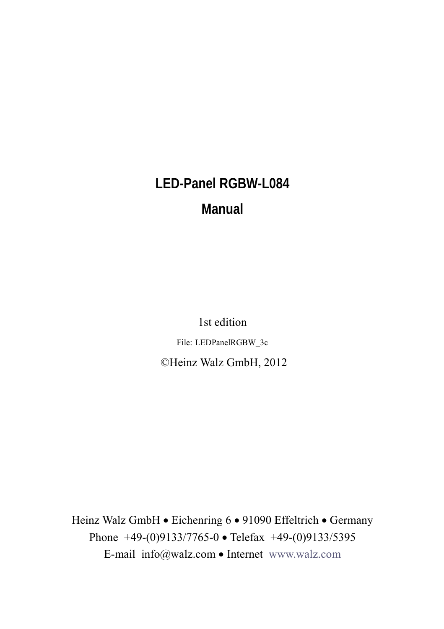# **LED-Panel RGBW-L084 Manual**

1st edition

File: LEDPanelRGBW\_3c

©Heinz Walz GmbH, 2012

Heinz Walz GmbH · Eichenring 6 · 91090 Effeltrich · Germany Phone  $+49-(0)9133/7765-0$  • Telefax  $+49-(0)9133/5395$ E-mail info@walz.com • Internet www.walz.com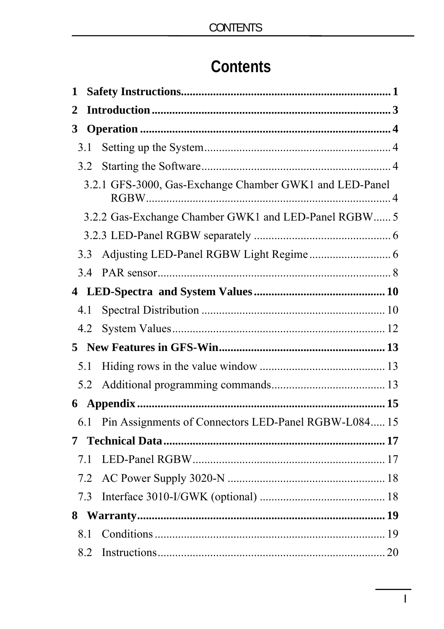# Contents

| 1 |     |                                                         |  |
|---|-----|---------------------------------------------------------|--|
| 2 |     |                                                         |  |
| 3 |     |                                                         |  |
|   | 3.1 |                                                         |  |
|   | 3.2 |                                                         |  |
|   |     | 3.2.1 GFS-3000, Gas-Exchange Chamber GWK1 and LED-Panel |  |
|   |     | 3.2.2 Gas-Exchange Chamber GWK1 and LED-Panel RGBW 5    |  |
|   |     |                                                         |  |
|   | 3.3 |                                                         |  |
|   | 3.4 |                                                         |  |
| 4 |     |                                                         |  |
|   | 4.1 |                                                         |  |
|   | 4.2 |                                                         |  |
|   |     |                                                         |  |
|   | 5.1 |                                                         |  |
|   |     |                                                         |  |
| 6 |     |                                                         |  |
|   | 6.1 | Pin Assignments of Connectors LED-Panel RGBW-L084 15    |  |
| 7 |     |                                                         |  |
|   | 71  |                                                         |  |
|   | 7.2 |                                                         |  |
|   | 7.3 |                                                         |  |
|   |     |                                                         |  |
|   | 8.1 |                                                         |  |
|   | 8.2 |                                                         |  |

 $\mathbf{I}$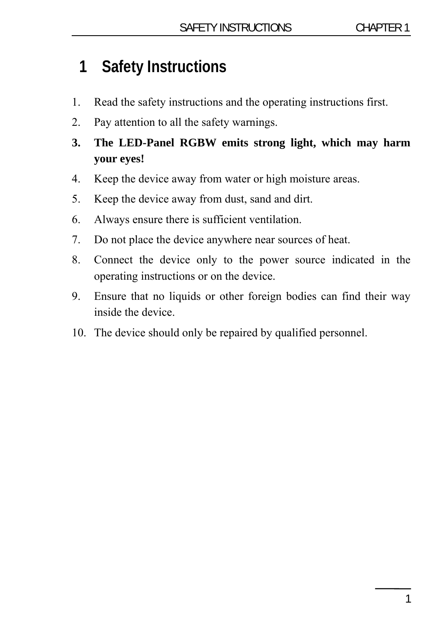## **1 Safety Instructions**

- 1. Read the safety instructions and the operating instructions first.
- 2. Pay attention to all the safety warnings.
- **3. The LED-Panel RGBW emits strong light, which may harm your eyes!**
- 4. Keep the device away from water or high moisture areas.
- 5. Keep the device away from dust, sand and dirt.
- 6. Always ensure there is sufficient ventilation.
- 7. Do not place the device anywhere near sources of heat.
- 8. Connect the device only to the power source indicated in the operating instructions or on the device.
- 9. Ensure that no liquids or other foreign bodies can find their way inside the device.
- 10. The device should only be repaired by qualified personnel.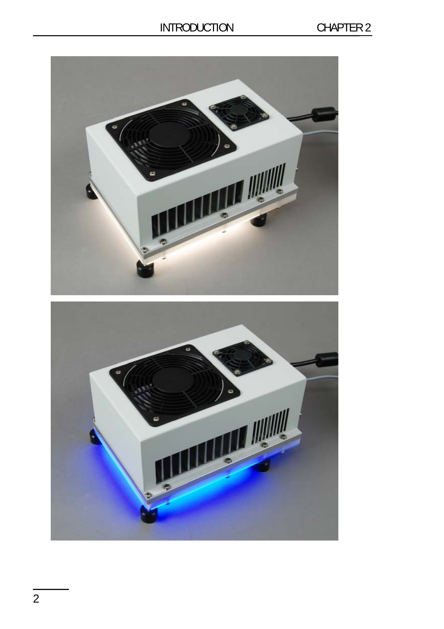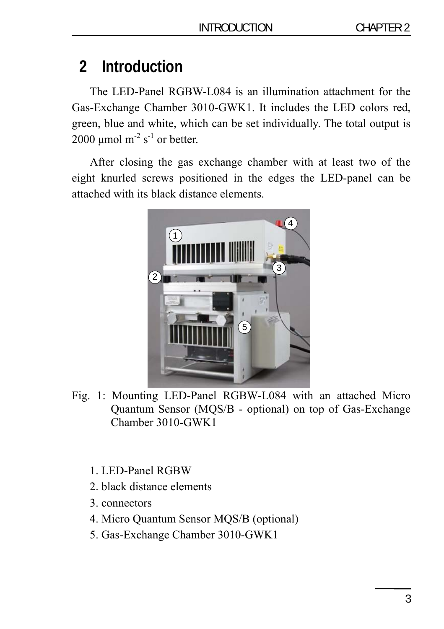## **2 Introduction**

The LED-Panel RGBW-L084 is an illumination attachment for the Gas-Exchange Chamber 3010-GWK1. It includes the LED colors red, green, blue and white, which can be set individually. The total output is 2000 umol  $m<sup>-2</sup>$  s<sup>-1</sup> or better.

After closing the gas exchange chamber with at least two of the eight knurled screws positioned in the edges the LED-panel can be attached with its black distance elements.



- Fig. 1: Mounting LED-Panel RGBW-L084 with an attached Micro Quantum Sensor (MQS/B - optional) on top of Gas-Exchange Chamber 3010-GWK1
	- 1. LED-Panel RGBW
	- 2. black distance elements
	- 3. connectors
	- 4. Micro Quantum Sensor MQS/B (optional)
	- 5. Gas-Exchange Chamber 3010-GWK1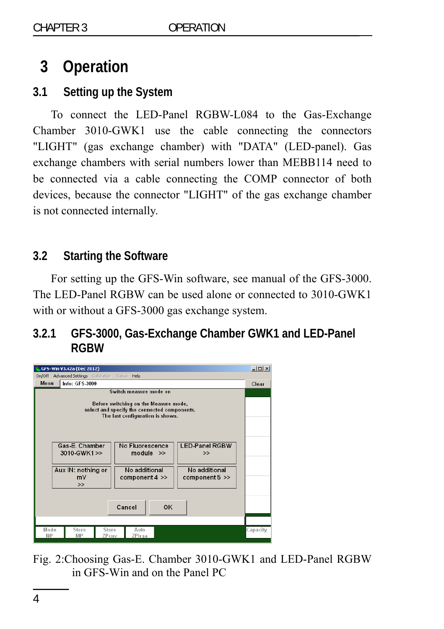### **3 Operation**

#### **3.1 Setting up the System**

To connect the LED-Panel RGBW-L084 to the Gas-Exchange Chamber 3010-GWK1 use the cable connecting the connectors "LIGHT" (gas exchange chamber) with "DATA" (LED-panel). Gas exchange chambers with serial numbers lower than MEBB114 need to be connected via a cable connecting the COMP connector of both devices, because the connector "LIGHT" of the gas exchange chamber is not connected internally.

#### **3.2 Starting the Software**

For setting up the GFS-Win software, see manual of the GFS-3000. The LED-Panel RGBW can be used alone or connected to 3010-GWK1 with or without a GFS-3000 gas exchange system.

#### **3.2.1 GFS-3000, Gas-Exchange Chamber GWK1 and LED-Panel RGBW**



Fig. 2:Choosing Gas-E. Chamber 3010-GWK1 and LED-Panel RGBW in GFS-Win and on the Panel PC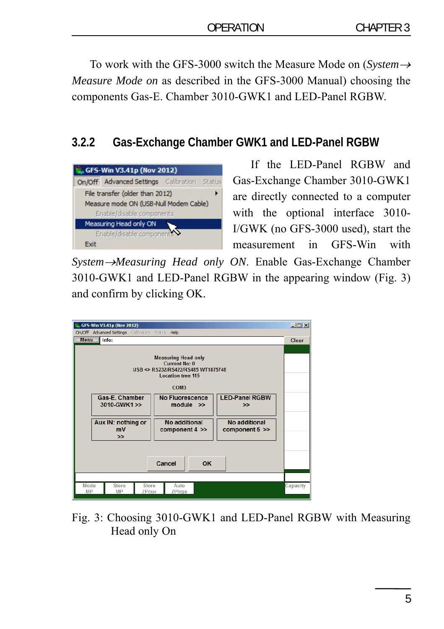To work with the GFS-3000 switch the Measure Mode on (*System Measure Mode on* as described in the GFS-3000 Manual) choosing the components Gas-E. Chamber 3010-GWK1 and LED-Panel RGBW.

### **3.2.2 Gas-Exchange Chamber GWK1 and LED-Panel RGBW**



If the LED-Panel RGBW and Gas-Exchange Chamber 3010-GWK1 are directly connected to a computer with the optional interface 3010- I/GWK (no GFS-3000 used), start the measurement in GFS-Win with

*SystemMeasuring Head only ON*. Enable Gas-Exchange Chamber 3010-GWK1 and LED-Panel RGBW in the appearing window (Fig. 3) and confirm by clicking OK.

|             | <b>GFS-Win V3.41p (Nov 2012)</b><br>On/Off Advanced Settings Calibration Status Help                                              |                                        |                                    | $-12x$   |  |  |  |  |
|-------------|-----------------------------------------------------------------------------------------------------------------------------------|----------------------------------------|------------------------------------|----------|--|--|--|--|
| <b>Menu</b> | Info:                                                                                                                             |                                        |                                    | Clear    |  |  |  |  |
|             | <b>Measuring Head only</b><br>Current No: 0<br>USB <> RS232/RS422/RS485 WT1875748<br><b>Location tree 115</b><br>COM <sub>3</sub> |                                        |                                    |          |  |  |  |  |
|             | Gas-E. Chamber<br>3010-GWK1>>                                                                                                     | <b>No Fluorescence</b><br>module $\gg$ | <b>LED-Panel RGBW</b><br>$\geq$    |          |  |  |  |  |
|             | Aux IN: nothing or<br>mV<br>$\rightarrow$                                                                                         | No additional<br>component $4 \gg$     | No additional<br>component $5 \gg$ |          |  |  |  |  |
|             |                                                                                                                                   | Cancel<br>OK                           |                                    |          |  |  |  |  |
| Mode<br>MP  | Store<br>Store<br>ZPcuv<br>MP                                                                                                     | Auto<br>ZPirga                         |                                    | Capacity |  |  |  |  |

Fig. 3: Choosing 3010-GWK1 and LED-Panel RGBW with Measuring Head only On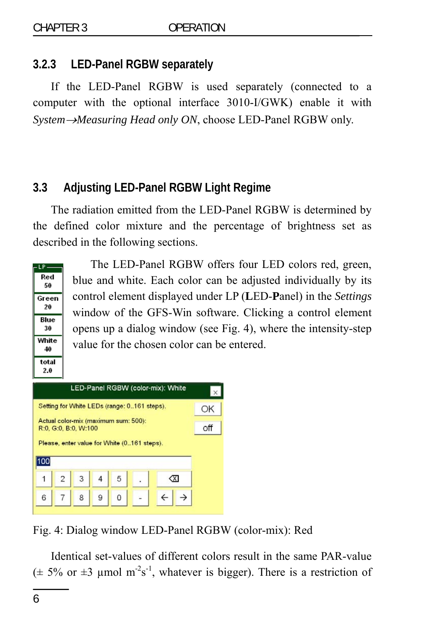#### **3.2.3 LED-Panel RGBW separately**

If the LED-Panel RGBW is used separately (connected to a computer with the optional interface 3010-I/GWK) enable it with *SystemMeasuring Head only ON*, choose LED-Panel RGBW only.

### **3.3 Adjusting LED-Panel RGBW Light Regime**

The radiation emitted from the LED-Panel RGBW is determined by the defined color mixture and the percentage of brightness set as described in the following sections.



The LED-Panel RGBW offers four LED colors red, green, blue and white. Each color can be adjusted individually by its control element displayed under LP (**L**ED-**P**anel) in the *Settings* window of the GFS-Win software. Clicking a control element opens up a dialog window (see Fig. 4), where the intensity-step value for the chosen color can be entered.



Fig. 4: Dialog window LED-Panel RGBW (color-mix): Red

Identical set-values of different colors result in the same PAR-value  $(\pm 5\% \text{ or } \pm 3 \text{ \mu mol m}^2\text{s}^{-1})$ , whatever is bigger). There is a restriction of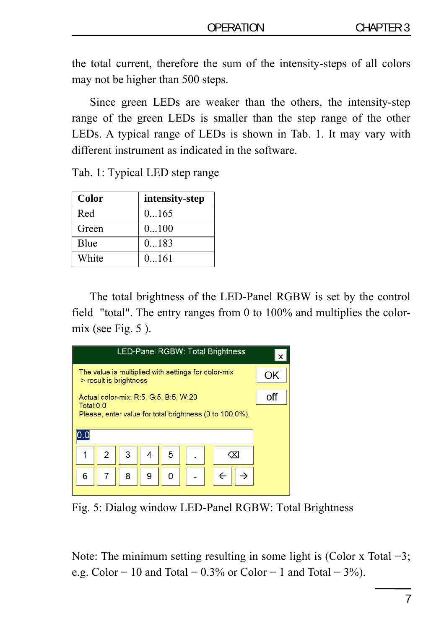the total current, therefore the sum of the intensity-steps of all colors may not be higher than 500 steps.

Since green LEDs are weaker than the others, the intensity-step range of the green LEDs is smaller than the step range of the other LEDs. A typical range of LEDs is shown in Tab. 1. It may vary with different instrument as indicated in the software.

| Color | intensity-step |
|-------|----------------|
| Red   | 0.165          |
| Green | 0.100          |
| Blue  | 0.183          |
| White | 0.161          |

Tab. 1: Typical LED step range

The total brightness of the LED-Panel RGBW is set by the control field "total". The entry ranges from 0 to 100% and multiplies the colormix (see Fig. 5 ).



Fig. 5: Dialog window LED-Panel RGBW: Total Brightness

Note: The minimum setting resulting in some light is (Color x Total  $=3$ ; e.g. Color = 10 and Total =  $0.3\%$  or Color = 1 and Total =  $3\%$ ).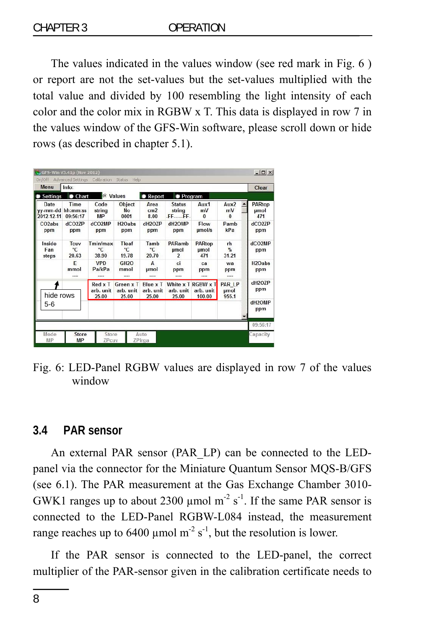The values indicated in the values window (see red mark in Fig. 6 ) or report are not the set-values but the set-values multiplied with the total value and divided by 100 resembling the light intensity of each color and the color mix in RGBW x T. This data is displayed in row 7 in the values window of the GFS-Win software, please scroll down or hide rows (as described in chapter 5.1).

| Menu                                    | Info:                        |                                  |                                      |                                |                                                                  |                                           |                                        | Clear                        |
|-----------------------------------------|------------------------------|----------------------------------|--------------------------------------|--------------------------------|------------------------------------------------------------------|-------------------------------------------|----------------------------------------|------------------------------|
| <b>Settings</b>                         | Chart                        |                                  | <b>C</b> Values                      | <b>Report</b>                  | <b>Program</b>                                                   |                                           |                                        |                              |
| Date<br>vy-mm-dd hh:mm:ss<br>2012-12-11 | Time<br>09:56:17             | Code<br>string<br><b>MP</b>      | Object<br><b>No</b><br>0001          | Area<br>cm2<br>8.00            | <b>Status</b><br>string<br>$FF$ <sub>-----</sub> FF <sub>-</sub> | Aux1<br>mV<br>$\Omega$                    | Aux <sub>2</sub><br>mV<br>$\mathbf{0}$ | <b>PARtop</b><br>umol<br>471 |
| $CO2$ abs<br>ppm                        | dCO27P<br>ppm                | dCO2MP<br>ppm                    | H <sub>2</sub> Oabs<br>ppm           | dH2O7P<br>ppm                  | dH <sub>2</sub> OMP<br>ppm                                       | Flow<br>umol/s                            | Pamb<br>kPa                            | dCO27P<br>ppm                |
| Inside<br>Fan<br>steps                  | Teuv<br>$^{\circ}C$<br>20.63 | Tmin/max<br>°C<br>38.90          | Tleaf<br>$\circ$ C<br>19.78          | Tamb<br>°C<br>20.70            | PARamb<br>umol<br>$\overline{\phantom{a}}$                       | PARtop<br>umol<br>471                     | rh<br>$\frac{9}{6}$<br>31.21           | dCO2MP<br>ppm                |
|                                         | F<br>mmol<br>$\cdots$        | <b>VPD</b><br>Pa/kPa<br>$\cdots$ | GH <sub>20</sub><br>mmol<br>$\cdots$ | $\Delta$<br>umol<br>$\cdots$   | ci<br>ppm<br>                                                    | ca<br>ppm<br>$\cdots$                     | wa<br>ppm<br>$\cdots$                  | H <sub>2</sub> Oabs<br>ppm   |
| hide rows                               |                              | Red x T<br>arb. unit<br>25.00    | Green x T<br>arb. unit<br>25.00      | Blue x T<br>arb. unit<br>25.00 | arb. unit<br>25.00                                               | White x T RGBW x T<br>arb. unit<br>100.00 | PAR LP<br>umol<br>955.1                | dH <sub>2</sub> OZP<br>ppm   |
| 5-6                                     |                              |                                  |                                      |                                |                                                                  |                                           |                                        | dH2OMP<br>ppm                |
|                                         |                              |                                  |                                      |                                |                                                                  |                                           |                                        | 09:56:17                     |
| Mode                                    | Store                        | Store                            |                                      | Auto                           |                                                                  |                                           |                                        | Capacity                     |

Fig. 6: LED-Panel RGBW values are displayed in row 7 of the values window

#### **3.4 PAR sensor**

An external PAR sensor (PAR\_LP) can be connected to the LEDpanel via the connector for the Miniature Quantum Sensor MQS-B/GFS (see 6.1). The PAR measurement at the Gas Exchange Chamber 3010- GWK1 ranges up to about 2300 µmol  $m^2 s^{-1}$ . If the same PAR sensor is connected to the LED-Panel RGBW-L084 instead, the measurement range reaches up to 6400 µmol  $m<sup>2</sup> s<sup>-1</sup>$ , but the resolution is lower.

If the PAR sensor is connected to the LED-panel, the correct multiplier of the PAR-sensor given in the calibration certificate needs to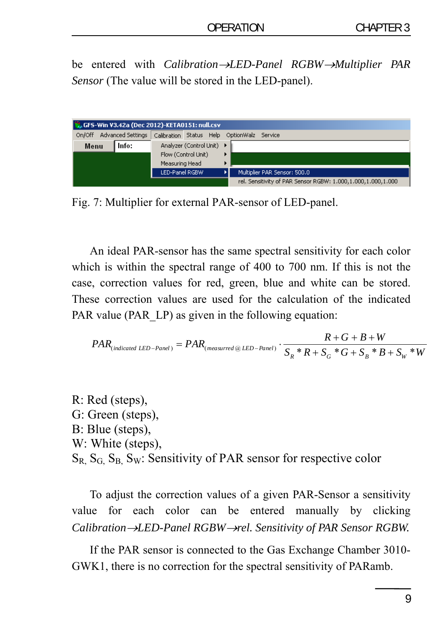be entered with *Calibration* $\rightarrow$ LED-Panel RGBW $\rightarrow$ Multiplier PAR *Sensor* (The value will be stored in the LED-panel).

|                             | <b>Ex. GFS-Win V3.42a (Dec 2012)-KETA0151: null.csv</b> |                           |                                    |  |                              |  |                                                              |  |  |
|-----------------------------|---------------------------------------------------------|---------------------------|------------------------------------|--|------------------------------|--|--------------------------------------------------------------|--|--|
| Advanced Settings<br>On/Off |                                                         |                           | Calibration Status Help OptionWalz |  |                              |  | Service                                                      |  |  |
| Info:<br>Menu               |                                                         | Analyzer (Control Unit) ▶ |                                    |  |                              |  |                                                              |  |  |
|                             |                                                         |                           | Flow (Control Unit)                |  |                              |  |                                                              |  |  |
|                             |                                                         | Measuring Head            |                                    |  |                              |  |                                                              |  |  |
|                             |                                                         | LED-Panel RGBW            |                                    |  | Multiplier PAR Sensor: 500.0 |  |                                                              |  |  |
|                             |                                                         |                           |                                    |  |                              |  | rel. Sensitivity of PAR Sensor RGBW: 1.000,1.000,1.000,1.000 |  |  |

Fig. 7: Multiplier for external PAR-sensor of LED-panel.

An ideal PAR-sensor has the same spectral sensitivity for each color which is within the spectral range of 400 to 700 nm. If this is not the case, correction values for red, green, blue and white can be stored. These correction values are used for the calculation of the indicated PAR value (PAR LP) as given in the following equation:

$$
PAR_{(indicated\ LED-Panel)} = PAR_{(measured \text{@LED- Panel})} \cdot \frac{R + G + B + W}{S_R * R + S_G * G + S_B * B + S_W * W}
$$

R: Red (steps), G: Green (steps), B: Blue (steps), W: White (steps),  $S_R$ ,  $S_G$ ,  $S_B$ ,  $S_W$ : Sensitivity of PAR sensor for respective color

To adjust the correction values of a given PAR-Sensor a sensitivity value for each color can be entered manually by clicking *Calibration→LED-Panel RGBW→rel. Sensitivity of PAR Sensor RGBW.* 

If the PAR sensor is connected to the Gas Exchange Chamber 3010- GWK1, there is no correction for the spectral sensitivity of PARamb.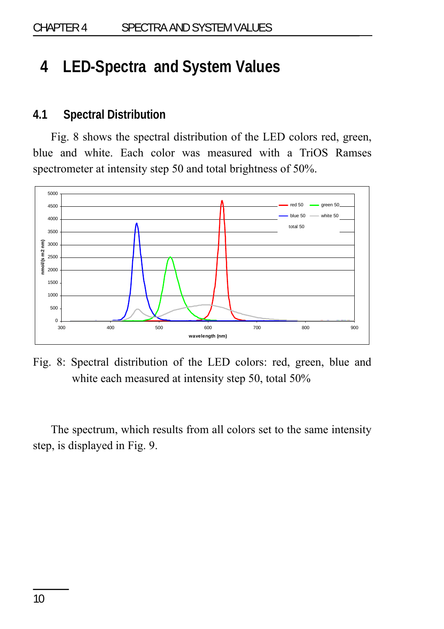### **4 LED-Spectra and System Values**

#### **4.1 Spectral Distribution**

Fig. 8 shows the spectral distribution of the LED colors red, green, blue and white. Each color was measured with a TriOS Ramses spectrometer at intensity step 50 and total brightness of 50%.



Fig. 8: Spectral distribution of the LED colors: red, green, blue and white each measured at intensity step 50, total 50%

The spectrum, which results from all colors set to the same intensity step, is displayed in Fig. 9.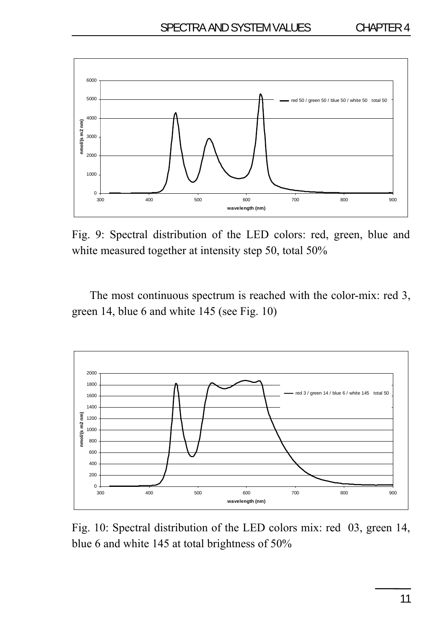

Fig. 9: Spectral distribution of the LED colors: red, green, blue and white measured together at intensity step 50, total 50%

The most continuous spectrum is reached with the color-mix: red 3, green 14, blue 6 and white 145 (see Fig. 10)



Fig. 10: Spectral distribution of the LED colors mix: red 03, green 14, blue 6 and white 145 at total brightness of 50%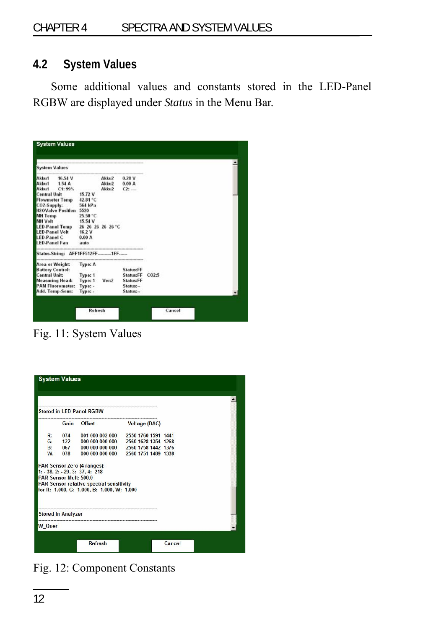### **4.2 System Values**

Some additional values and constants stored in the LED-Panel RGBW are displayed under *Status* in the Menu Bar.

|                         | <b>System Values</b>                         |          |                   |                  |       |  |  |
|-------------------------|----------------------------------------------|----------|-------------------|------------------|-------|--|--|
| Akku1                   | 16.54 V                                      |          | Akku2             | 0.28V            |       |  |  |
| Akku1                   | 1.54A                                        |          | Akku2             | 0.00A            |       |  |  |
| Akku1                   | C1:99%                                       |          | Akku2             | C2:              |       |  |  |
| <b>Central Unit</b>     |                                              | 15.72 V  |                   |                  |       |  |  |
|                         | <b>Flowmeter Temp</b>                        | 42.81 °C |                   |                  |       |  |  |
| CO2-Supply:             |                                              | 564 kPa  |                   |                  |       |  |  |
|                         | <b>H2OValve Position</b>                     | 5520     |                   |                  |       |  |  |
| <b>MH</b> Temp          |                                              | 25.50 °C |                   |                  |       |  |  |
| <b>MH Volt</b>          |                                              | 15.54 V  |                   |                  |       |  |  |
|                         | <b>LED-Panel Temp</b>                        |          | 26 26 26 26 26 °C |                  |       |  |  |
| <b>LED-Panel Volt</b>   |                                              | 16.2 V   |                   |                  |       |  |  |
| LED-Panel C             |                                              | 0.00A    |                   |                  |       |  |  |
| LED-Panel Fan           |                                              | auto     |                   |                  |       |  |  |
|                         | Status-String: AFF1FF512FF---------1FF------ |          |                   |                  |       |  |  |
| Area or Weight:         |                                              | Type: A  |                   |                  |       |  |  |
| <b>Battery Control:</b> |                                              |          |                   | <b>Status:FF</b> |       |  |  |
| <b>Central Unit:</b>    |                                              | Type: 1  |                   | Status:FF        | CO2:5 |  |  |
|                         | <b>Measuring Head:</b>                       | Type: 1  | Ver:2             | <b>Status:FF</b> |       |  |  |
|                         | <b>PAM Fluorometer:</b>                      | Type: -  |                   | Status:          |       |  |  |
|                         | Add. Temp-Sens:                              | Type: -  |                   | Status:-         |       |  |  |

Fig. 11: System Values

|       |                           | <b>Stored in LED-Panel RGBW</b>                                                                                                                          |                      |  |
|-------|---------------------------|----------------------------------------------------------------------------------------------------------------------------------------------------------|----------------------|--|
|       | Gain                      | <b>Offset</b>                                                                                                                                            | <b>Voltage (DAC)</b> |  |
| R:    | 074                       | 001 000 002 000                                                                                                                                          | 2550 1760 1591 1441  |  |
| $G^*$ | 122                       | 000 000 000 000                                                                                                                                          | 2560 1628 1354 1268  |  |
| B:    | 067                       | 000 000 000 000 2560 1758 1442 1376                                                                                                                      |                      |  |
| W:    | 078                       | 000 000 000 000 2560 1751 1489 1338                                                                                                                      |                      |  |
|       | PAR Sensor Mult: 500.0    | PAR Sensor Zero (4 ranges):<br>1: - 38, 2: - 29, 3: 37, 4: 218<br>PAR Sensor relative spectral sensitivity<br>for R: 1.000, G: 1.000, B: 1.000, W: 1.000 |                      |  |
|       | <b>Stored in Analyzer</b> |                                                                                                                                                          |                      |  |
|       |                           |                                                                                                                                                          |                      |  |

Fig. 12: Component Constants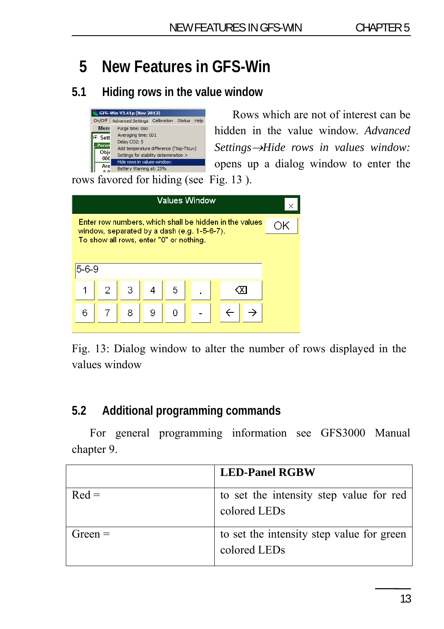## **5 New Features in GFS-Win**

### **5.1 Hiding rows in the value window**



Rows which are not of interest can be hidden in the value window. *Advanced SettingsHide rows in values window:*  opens up a dialog window to enter the

rows favored for hiding (see Fig. 13 ).



Fig. 13: Dialog window to alter the number of rows displayed in the values window

### **5.2 Additional programming commands**

For general programming information see GFS3000 Manual chapter 9.

|           | <b>LED-Panel RGBW</b>                                     |
|-----------|-----------------------------------------------------------|
| $Red =$   | to set the intensity step value for red<br>colored LEDs   |
| Green $=$ | to set the intensity step value for green<br>colored LEDs |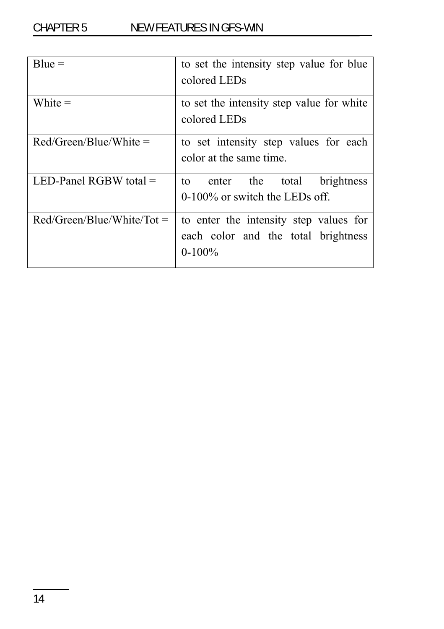| $Blue =$                     | to set the intensity step value for blue<br>colored LEDs                                  |
|------------------------------|-------------------------------------------------------------------------------------------|
| White =                      | to set the intensity step value for white<br>colored LEDs                                 |
| $Red/Green/Blue/White =$     | to set intensity step values for each<br>color at the same time.                          |
| LED-Panel RGBW total $=$     | enter the<br>brightness<br>total<br>to<br>0-100% or switch the LEDs off.                  |
| $Red/Green/Blue/White/Tot =$ | to enter the intensity step values for<br>each color and the total brightness<br>$0-100%$ |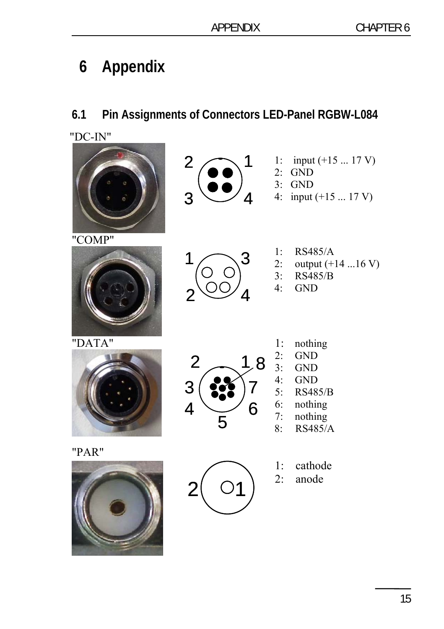# **6 Appendix**

### **6.1 Pin Assignments of Connectors LED-Panel RGBW-L084**

"DC-IN"



"COMP"



"DATA" 1: nothing



"PAR"





- 1: input (+15 ... 17 V)
- 2: GND
- 3: GND
- 4: input (+15 ... 17 V)



- 1:  $RS485/A$ <br>2: output  $(+1)$
- 2: output (+14 ...16 V)<br>3: RS485/B
- 3: RS485/B
- GND
- **2** 4  $3(35)7$ 5 6 8
- 2: GND<br>3: GND
- 3: GND
- 4: GND
- 5: RS485/B<br>6: nothing
- 6: nothing<br>7: nothing
- nothing
- 8: RS485/A



- 1: cathode<br>2: anode
	- anode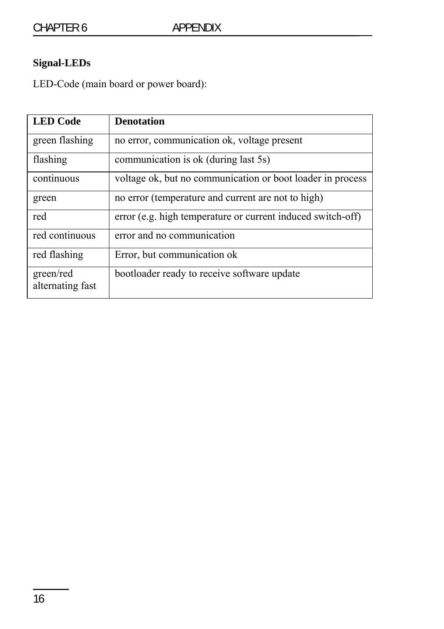#### **Signal-LEDs**

LED-Code (main board or power board):

| <b>LED</b> Code               | <b>Denotation</b>                                           |
|-------------------------------|-------------------------------------------------------------|
| green flashing                | no error, communication ok, voltage present                 |
| flashing                      | communication is ok (during last 5s)                        |
| continuous                    | voltage ok, but no communication or boot loader in process  |
| green                         | no error (temperature and current are not to high)          |
| red                           | error (e.g. high temperature or current induced switch-off) |
| red continuous                | error and no communication                                  |
| red flashing                  | Error, but communication ok                                 |
| green/red<br>alternating fast | bootloader ready to receive software update                 |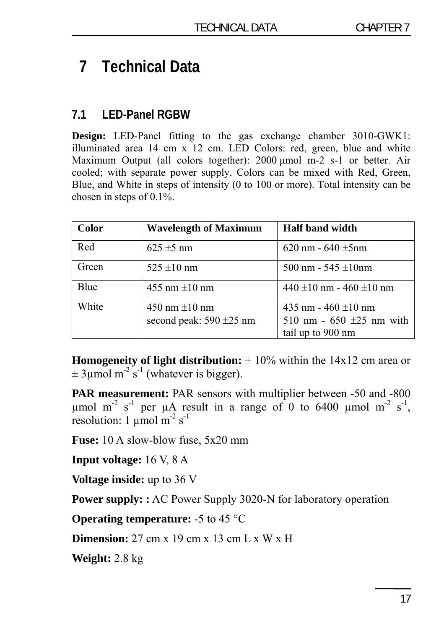## **7 Technical Data**

### **7.1 LED-Panel RGBW**

**Design:** LED-Panel fitting to the gas exchange chamber 3010-GWK1: illuminated area 14 cm x 12 cm. LED Colors: red, green, blue and white Maximum Output (all colors together): 2000 μmol m-2 s-1 or better. Air cooled; with separate power supply. Colors can be mixed with Red, Green, Blue, and White in steps of intensity (0 to 100 or more). Total intensity can be chosen in steps of 0.1%.

| Color | <b>Wavelength of Maximum</b>                       | Half band width                                                                |
|-------|----------------------------------------------------|--------------------------------------------------------------------------------|
| Red   | $625 \pm 5$ nm                                     | 620 nm - 640 $\pm$ 5nm                                                         |
| Green | $525 \pm 10$ nm                                    | 500 nm - 545 $\pm$ 10nm                                                        |
| Blue  | 455 nm $\pm 10$ nm                                 | $440 \pm 10$ nm - $460 \pm 10$ nm                                              |
| White | 450 nm $\pm 10$ nm<br>second peak: $590 \pm 25$ nm | 435 nm - $460 \pm 10$ nm<br>510 nm - 650 $\pm 25$ nm with<br>tail up to 900 nm |

**Homogeneity of light distribution:**  $\pm 10\%$  within the 14x12 cm area or  $\pm$  3 µmol m<sup>-2</sup> s<sup>-1</sup> (whatever is bigger).

**PAR measurement:** PAR sensors with multiplier between -50 and -800 umol m<sup>-2</sup> s<sup>-1</sup> per µA result in a range of 0 to 6400 µmol m<sup>-2</sup> s<sup>-1</sup>, resolution: 1  $\mu$ mol m<sup>-2</sup> s<sup>-1</sup>

**Fuse:** 10 A slow-blow fuse, 5x20 mm

**Input voltage:** 16 V, 8 A

**Voltage inside:** up to 36 V

**Power supply:** : AC Power Supply 3020-N for laboratory operation

**Operating temperature:** -5 to 45 °C

**Dimension:** 27 cm x 19 cm x 13 cm L x W x H

**Weight:** 2.8 kg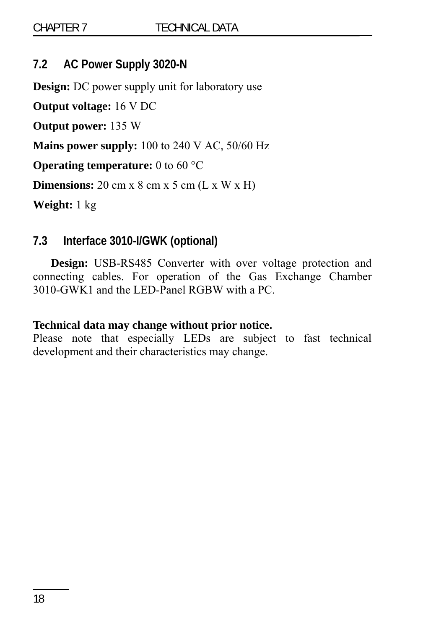#### **7.2 AC Power Supply 3020-N**

**Design:** DC power supply unit for laboratory use **Output voltage:** 16 V DC **Output power:** 135 W **Mains power supply:** 100 to 240 V AC, 50/60 Hz **Operating temperature:** 0 to 60 °C **Dimensions:** 20 cm x 8 cm x 5 cm  $(L \times W \times H)$ **Weight:** 1 kg

#### **7.3 Interface 3010-I/GWK (optional)**

**Design:** USB-RS485 Converter with over voltage protection and connecting cables. For operation of the Gas Exchange Chamber 3010-GWK1 and the LED-Panel RGBW with a PC.

#### **Technical data may change without prior notice.**

Please note that especially LEDs are subject to fast technical development and their characteristics may change.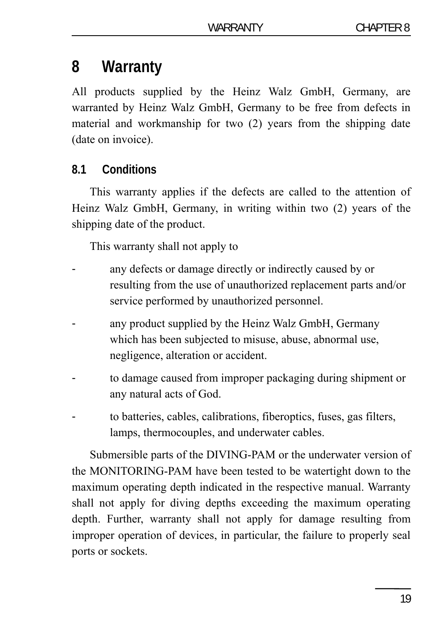## **8 Warranty**

All products supplied by the Heinz Walz GmbH, Germany, are warranted by Heinz Walz GmbH, Germany to be free from defects in material and workmanship for two (2) years from the shipping date (date on invoice).

### **8.1 Conditions**

This warranty applies if the defects are called to the attention of Heinz Walz GmbH, Germany, in writing within two (2) years of the shipping date of the product.

This warranty shall not apply to

- any defects or damage directly or indirectly caused by or resulting from the use of unauthorized replacement parts and/or service performed by unauthorized personnel.
- any product supplied by the Heinz Walz GmbH, Germany which has been subjected to misuse, abuse, abnormal use, negligence, alteration or accident.
- to damage caused from improper packaging during shipment or any natural acts of God.
- to batteries, cables, calibrations, fiberoptics, fuses, gas filters, lamps, thermocouples, and underwater cables.

Submersible parts of the DIVING-PAM or the underwater version of the MONITORING-PAM have been tested to be watertight down to the maximum operating depth indicated in the respective manual. Warranty shall not apply for diving depths exceeding the maximum operating depth. Further, warranty shall not apply for damage resulting from improper operation of devices, in particular, the failure to properly seal ports or sockets.